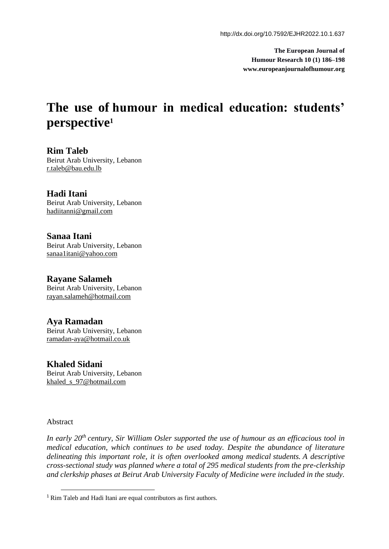**The European Journal of Humour Research 10 (1) 186–198 www.europeanjournalofhumour.org**

# **The use of humour in medical education: students' perspective<sup>1</sup>**

**Rim Taleb** Beirut Arab University, Lebanon r.taleb@bau.edu.lb

**Hadi Itani** Beirut Arab University, Lebanon [hadiitanni@gmail.com](about:blank)

**Sanaa Itani** Beirut Arab University, Lebanon [sanaa1itani@yahoo.com](mailto:sanaa1itani@yahoo.com)

**Rayane Salameh** Beirut Arab University, Lebanon [rayan.salameh@hotmail.com](mailto:rayan.salameh@hotmail.com)

**Aya Ramadan** Beirut Arab University, Lebanon [ramadan-aya@hotmail.co.uk](mailto:ramadan-aya@hotmail.co.uk)

**Khaled Sidani** Beirut Arab University, Lebanon khaled\_s\_97@hotmail.com

Abstract

*In early 20th century, Sir William Osler supported the use of humour as an efficacious tool in medical education, which continues to be used today. Despite the abundance of literature delineating this important role, it is often overlooked among medical students. A descriptive cross-sectional study was planned where a total of 295 medical students from the pre-clerkship and clerkship phases at Beirut Arab University Faculty of Medicine were included in the study.* 

<sup>1</sup> Rim Taleb and Hadi Itani are equal contributors as first authors.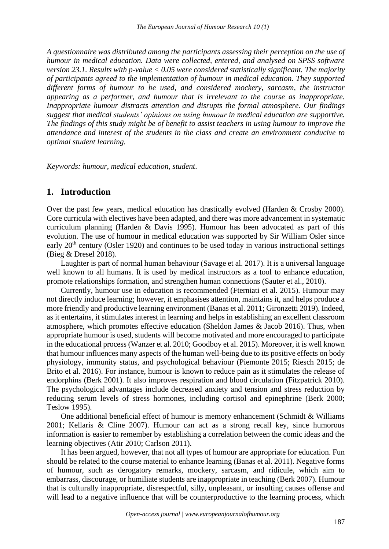*A questionnaire was distributed among the participants assessing their perception on the use of humour in medical education. Data were collected, entered, and analysed on SPSS software version 23.1. Results with p-value < 0.05 were considered statistically significant. The majority of participants agreed to the implementation of humour in medical education. They supported different forms of humour to be used, and considered mockery, sarcasm, the instructor appearing as a performer, and humour that is irrelevant to the course as inappropriate. Inappropriate humour distracts attention and disrupts the formal atmosphere. Our findings suggest that medical students' opinions on using humour in medical education are supportive. The findings of this study might be of benefit to assist teachers in using humour to improve the attendance and interest of the students in the class and create an environment conducive to optimal student learning.*

*Keywords: humour, medical education, student*.

## **1. Introduction**

Over the past few years, medical education has drastically evolved (Harden & Crosby 2000). Core curricula with electives have been adapted, and there was more advancement in systematic curriculum planning (Harden & Davis 1995). Humour has been advocated as part of this evolution. The use of humour in medical education was supported by Sir William Osler since early 20<sup>th</sup> century (Osler 1920) and continues to be used today in various instructional settings (Bieg & Dresel 2018).

Laughter is part of normal human behaviour (Savage et al. 2017). It is a universal language well known to all humans. It is used by medical instructors as a tool to enhance education, promote relationships formation, and strengthen human connections (Sauter et al., 2010).

Currently, humour use in education is recommended (Fterniati et al. 2015). Humour may not directly induce learning; however, it emphasises attention, maintains it, and helps produce a more friendly and productive learning environment (Banas et al. 2011; Gironzetti 2019). Indeed, as it entertains, it stimulates interest in learning and helps in establishing an excellent classroom atmosphere, which promotes effective education (Sheldon James & Jacob 2016). Thus, when appropriate humour is used, students will become motivated and more encouraged to participate in the educational process (Wanzer et al. 2010; Goodboy et al. 2015). Moreover, it is well known that humour influences many aspects of the human well-being due to its positive effects on body physiology, immunity status, and psychological behaviour (Piemonte 2015; Riesch 2015; de Brito et al. 2016). For instance, humour is known to reduce pain as it stimulates the release of endorphins (Berk 2001). It also improves respiration and blood circulation (Fitzpatrick 2010). The psychological advantages include decreased anxiety and tension and stress reduction by reducing serum levels of stress hormones, including cortisol and epinephrine (Berk 2000; Teslow 1995).

One additional beneficial effect of humour is memory enhancement (Schmidt & Williams 2001; Kellaris & Cline 2007). Humour can act as a strong recall key, since humorous information is easier to remember by establishing a correlation between the comic ideas and the learning objectives (Atir 2010; Carlson 2011).

It has been argued, however, that not all types of humour are appropriate for education. Fun should be related to the course material to enhance learning (Banas et al. 2011). Negative forms of humour, such as derogatory remarks, mockery, sarcasm, and ridicule, which aim to embarrass, discourage, or humiliate students are inappropriate in teaching (Berk 2007). Humour that is culturally inappropriate, disrespectful, silly, unpleasant, or insulting causes offense and will lead to a negative influence that will be counterproductive to the learning process, which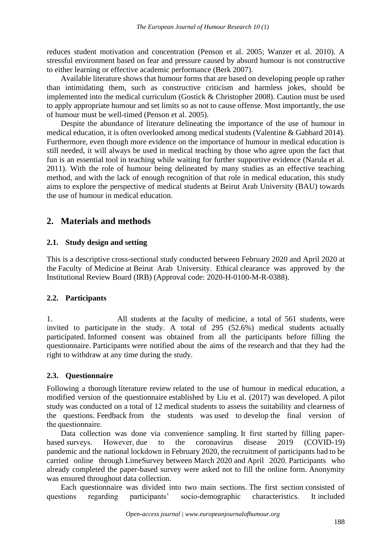reduces student motivation and concentration (Penson et al. 2005; Wanzer et al. 2010). A stressful environment based on fear and pressure caused by absurd humour is not constructive to either learning or effective academic performance (Berk 2007).

Available literature shows that humour forms that are based on developing people up rather than intimidating them, such as constructive criticism and harmless jokes, should be implemented into the medical curriculum (Gostick & Christopher 2008). Caution must be used to apply appropriate humour and set limits so as not to cause offense. Most importantly, the use of humour must be well-timed (Penson et al. 2005).

Despite the abundance of literature delineating the importance of the use of humour in medical education, it is often overlooked among medical students (Valentine & Gabbard 2014). Furthermore, even though more evidence on the importance of humour in medical education is still needed, it will always be used in medical teaching by those who agree upon the fact that fun is an essential tool in teaching while waiting for further supportive evidence (Narula et al. 2011). With the role of humour being delineated by many studies as an effective teaching method, and with the lack of enough recognition of that role in medical education, this study aims to explore the perspective of medical students at Beirut Arab University (BAU) towards the use of humour in medical education.

## **2. Materials and methods**

## **2.1. Study design and setting**

This is a descriptive cross-sectional study conducted between February 2020 and April 2020 at the Faculty of Medicine at Beirut Arab University. Ethical clearance was approved by the Institutional Review Board (IRB) (Approval code: 2020-H-0100-M-R-0388).

## **2.2. Participants**

1. All students at the faculty of medicine, a total of 561 students, were invited to participate in the study. A total of 295 (52.6%) medical students actually participated. Informed consent was obtained from all the participants before filling the questionnaire. Participants were notified about the aims of the research and that they had the right to withdraw at any time during the study.

## **2.3. Questionnaire**

Following a thorough literature review related to the use of humour in medical education, a modified version of the questionnaire established by Liu et al. (2017) was developed. A pilot study was conducted on a total of 12 medical students to assess the suitability and clearness of the questions. Feedback from the students was used to develop the final version of the questionnaire.

Data collection was done via convenience sampling. It first started by filling paperbased surveys. Ηowever, due to the coronavirus disease 2019 (COVID-19) pandemic and the national lockdown in February 2020, the recruitment of participants had to be carried online through LimeSurvey between March 2020 and April 2020. Participants who already completed the paper-based survey were asked not to fill the online form. Anonymity was ensured throughout data collection.

Each questionnaire was divided into two main sections. The first section consisted of questions regarding participants' socio-demographic characteristics. It included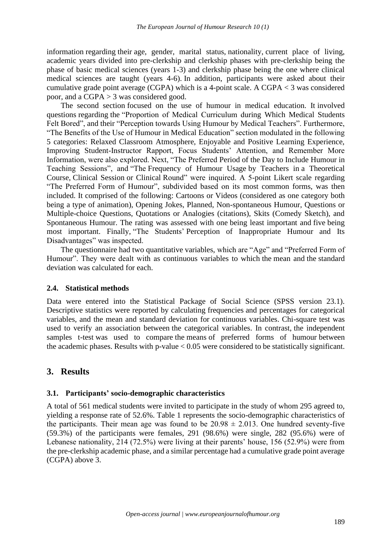information regarding their age, gender, marital status, nationality, current place of living, academic years divided into pre-clerkship and clerkship phases with pre-clerkship being the phase of basic medical sciences (years 1-3) and clerkship phase being the one where clinical medical sciences are taught (years 4-6). In addition, participants were asked about their cumulative grade point average (CGPA) which is a 4-point scale. A CGPA < 3 was considered poor, and a CGPA > 3 was considered good.

The second section focused on the use of humour in medical education. It involved questions regarding the "Proportion of Medical Curriculum during Which Medical Students Felt Bored", and their "Perception towards Using Humour by Medical Teachers". Furthermore, "The Benefits of the Use of Humour in Medical Education" section modulated in the following 5 categories: Relaxed Classroom Atmosphere, Enjoyable and Positive Learning Experience, Improving Student-Instructor Rapport, Focus Students' Attention, and Remember More Information, were also explored. Next, "The Preferred Period of the Day to Include Humour in Teaching Sessions", and "The Frequency of Humour Usage by Teachers in a Theoretical Course, Clinical Session or Clinical Round" were inquired. A 5-point Likert scale regarding "The Preferred Form of Humour", subdivided based on its most common forms, was then included. It comprised of the following: Cartoons or Videos (considered as one category both being a type of animation), Opening Jokes, Planned, Non-spontaneous Humour, Questions or Multiple-choice Questions, Quotations or Analogies (citations), Skits (Comedy Sketch), and Spontaneous Humour. The rating was assessed with one being least important and five being most important. Finally, "The Students' Perception of Inappropriate Humour and Its Disadvantages" was inspected.

The questionnaire had two quantitative variables, which are "Age" and "Preferred Form of Humour". They were dealt with as continuous variables to which the mean and the standard deviation was calculated for each.

#### **2.4. Statistical methods**

Data were entered into the Statistical Package of Social Science (SPSS version 23.1). Descriptive statistics were reported by calculating frequencies and percentages for categorical variables, and the mean and standard deviation for continuous variables. Chi-square test was used to verify an association between the categorical variables. In contrast, the independent samples t-test was used to compare the means of preferred forms of humour between the academic phases. Results with  $p$ -value  $< 0.05$  were considered to be statistically significant.

## **3. Results**

#### **3.1. Participants' socio-demographic characteristics**

A total of 561 medical students were invited to participate in the study of whom 295 agreed to, yielding a response rate of 52.6%. Table 1 represents the socio-demographic characteristics of the participants. Their mean age was found to be  $20.98 \pm 2.013$ . One hundred seventy-five (59.3%) of the participants were females, 291 (98.6%) were single, 282 (95.6%) were of Lebanese nationality, 214 (72.5%) were living at their parents' house, 156 (52.9%) were from the pre-clerkship academic phase, and a similar percentage had a cumulative grade point average (CGPA) above 3.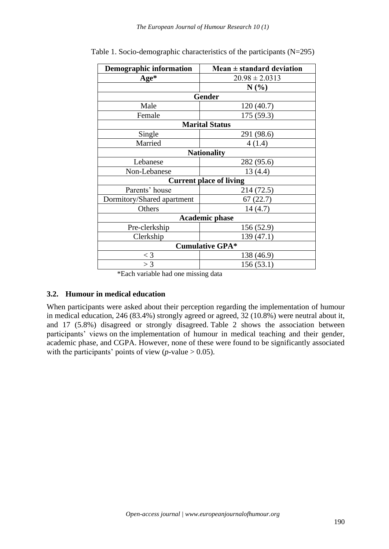| <b>Demographic information</b> | Mean $\pm$ standard deviation  |  |  |
|--------------------------------|--------------------------------|--|--|
| Age*                           | $20.98 \pm 2.0313$             |  |  |
|                                | N(%)                           |  |  |
|                                | Gender                         |  |  |
| Male                           | 120(40.7)                      |  |  |
| Female                         | 175(59.3)                      |  |  |
|                                | <b>Marital Status</b>          |  |  |
| Single                         | 291 (98.6)                     |  |  |
| Married                        | 4(1.4)                         |  |  |
|                                | <b>Nationality</b>             |  |  |
| Lebanese                       | 282 (95.6)                     |  |  |
| Non-Lebanese                   | 13(4.4)                        |  |  |
|                                | <b>Current place of living</b> |  |  |
| Parents' house                 | 214 (72.5)                     |  |  |
| Dormitory/Shared apartment     | 67(22.7)                       |  |  |
| Others                         | 14(4.7)                        |  |  |
|                                | <b>Academic phase</b>          |  |  |
| Pre-clerkship                  | 156 (52.9)                     |  |  |
| Clerkship                      | 139 (47.1)                     |  |  |
|                                | <b>Cumulative GPA*</b>         |  |  |
| $\lt$ 3                        | 138 (46.9)                     |  |  |
| >3                             | 156(53.1)                      |  |  |

Table 1. Socio-demographic characteristics of the participants (N=295)

\*Each variable had one missing data

#### **3.2. Humour in medical education**

When participants were asked about their perception regarding the implementation of humour in medical education, 246 (83.4%) strongly agreed or agreed, 32 (10.8%) were neutral about it, and 17 (5.8%) disagreed or strongly disagreed. Table 2 shows the association between participants' views on the implementation of humour in medical teaching and their gender, academic phase, and CGPA. However, none of these were found to be significantly associated with the participants' points of view  $(p$ -value  $> 0.05$ ).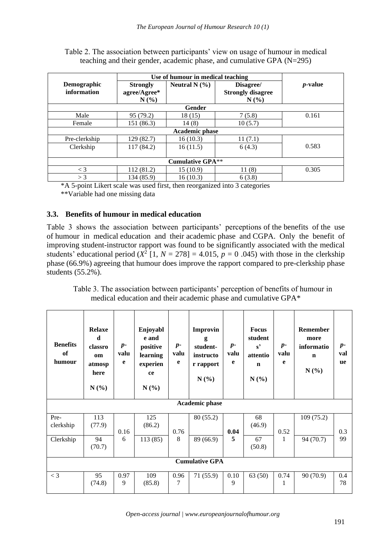|                            | Use of humour in medical teaching      |                       |                                               |                 |  |
|----------------------------|----------------------------------------|-----------------------|-----------------------------------------------|-----------------|--|
| Demographic<br>information | <b>Strongly</b><br>agree/Agree*<br>N(% | Neutral N $(\% )$     | Disagree/<br><b>Strongly disagree</b><br>N(%) | <i>p</i> -value |  |
|                            |                                        | <b>Gender</b>         |                                               |                 |  |
|                            |                                        |                       |                                               |                 |  |
| Male                       | 95 (79.2)                              | 18 (15)               | 7(5.8)                                        | 0.161           |  |
| Female                     | 151 (86.3)                             | 14(8)                 | 10(5.7)                                       |                 |  |
|                            |                                        | <b>Academic phase</b> |                                               |                 |  |
| Pre-clerkship              | 129 (82.7)                             | 16(10.3)              | 11(7.1)                                       |                 |  |
| Clerkship                  | 117(84.2)                              | 16(11.5)              | 6(4.3)                                        | 0.583           |  |
| <b>Cumulative GPA**</b>    |                                        |                       |                                               |                 |  |
| $\lt$ 3                    | 112(81.2)                              | 15(10.9)              | 11(8)                                         | 0.305           |  |
| $>$ 3                      | 134 (85.9)                             | 16(10.3)              | 6(3.8)                                        |                 |  |

Table 2. The association between participants' view on usage of humour in medical teaching and their gender, academic phase, and cumulative GPA (N=295)

\*A 5-point Likert scale was used first, then reorganized into 3 categories

\*\*Variable had one missing data

## **3.3. Benefits of humour in medical education**

Table 3 shows the association between participants' perceptions of the benefits of the use of humour in medical education and their academic phase and CGPA. Only the benefit of improving student-instructor rapport was found to be significantly associated with the medical students' educational period  $(X^2 \mid 1, N = 278) = 4.015$ ,  $p = 0.045$ ) with those in the clerkship phase (66.9%) agreeing that humour does improve the rapport compared to pre-clerkship phase students (55.2%).

Table 3. The association between participants' perception of benefits of humour in medical education and their academic phase and cumulative GPA\*

| <b>Benefits</b><br>of<br>humour | <b>Relaxe</b><br>d.<br>classro<br>om<br>atmosp<br>here<br>N(%) | $p-$<br>valu<br>e | Enjoyabl<br>e and<br>positive<br>learning<br>experien<br>ce<br>N(%) | $p-$<br>valu<br>e | Improvin<br>g<br>student-<br>instructo<br>r rapport<br>N(%) | $p-$<br>valu<br>e | <b>Focus</b><br>student<br>$s^{\prime}$<br>attentio<br>$\mathbf n$<br>N(%) | $p-$<br>valu<br>e | Remember<br>more<br>informatio<br>$\mathbf n$<br>$N(\%)$ | $p-$<br>val<br><b>ue</b> |
|---------------------------------|----------------------------------------------------------------|-------------------|---------------------------------------------------------------------|-------------------|-------------------------------------------------------------|-------------------|----------------------------------------------------------------------------|-------------------|----------------------------------------------------------|--------------------------|
|                                 |                                                                |                   |                                                                     |                   | <b>Academic phase</b>                                       |                   |                                                                            |                   |                                                          |                          |
| Pre-<br>clerkship<br>Clerkship  | 113<br>(77.9)<br>94<br>(70.7)                                  | 0.16<br>6         | 125<br>(86.2)<br>113(85)                                            | 0.76<br>8         | 80 (55.2)<br>89 (66.9)                                      | 0.04<br>5         | 68<br>(46.9)<br>67<br>(50.8)                                               | 0.52<br>1         | 109(75.2)<br>94 (70.7)                                   | 0.3<br>99                |
| <b>Cumulative GPA</b>           |                                                                |                   |                                                                     |                   |                                                             |                   |                                                                            |                   |                                                          |                          |
| $<$ 3                           | 95<br>(74.8)                                                   | 0.97<br>9         | 109<br>(85.8)                                                       | 0.96<br>7         | 71 (55.9)                                                   | 0.10<br>9         | 63(50)                                                                     | 0.74<br>1         | 90 (70.9)                                                | 0.4<br>78                |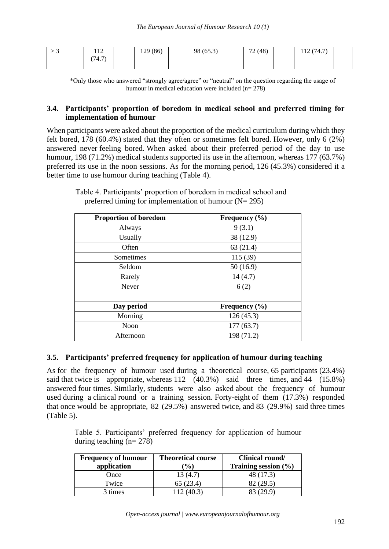| ັ | 1 <sub>0</sub><br>1 1 <i>4</i> | 129 (86)<br>1/2 | 98 (65.3) | 72(48) | (74.7)<br>$\sqrt{2}$ |  |
|---|--------------------------------|-----------------|-----------|--------|----------------------|--|
|   | (74.7)                         |                 |           |        |                      |  |
|   |                                |                 |           |        |                      |  |

\*Only those who answered "strongly agree/agree" or "neutral" on the question regarding the usage of humour in medical education were included (n= 278)

## **3.4. Participants' proportion of boredom in medical school and preferred timing for implementation of humour**

When participants were asked about the proportion of the medical curriculum during which they felt bored, 178 (60.4%) stated that they often or sometimes felt bored. However, only 6 (2%) answered never feeling bored. When asked about their preferred period of the day to use humour, 198 (71.2%) medical students supported its use in the afternoon, whereas 177 (63.7%) preferred its use in the noon sessions. As for the morning period, 126 (45.3%) considered it a better time to use humour during teaching (Table 4).

| Proportion of boredom | Frequency $(\% )$ |  |
|-----------------------|-------------------|--|
| Always                | 9(3.1)            |  |
| Usually               | 38 (12.9)         |  |
| Often                 | 63(21.4)          |  |
| Sometimes             | 115 (39)          |  |
| Seldom                | 50(16.9)          |  |
| Rarely                | 14(4.7)           |  |
| Never                 | 6(2)              |  |
|                       |                   |  |
| Day period            | Frequency $(\% )$ |  |
| Morning               | 126(45.3)         |  |
| Noon                  | 177(63.7)         |  |
| Afternoon             | 198 (71.2)        |  |

Table 4. Participants' proportion of boredom in medical school and preferred timing for implementation of humour  $(N= 295)$ 

## **3.5. Participants' preferred frequency for application of humour during teaching**

As for the frequency of humour used during a theoretical course, 65 participants (23.4%) said that twice is appropriate, whereas 112 (40.3%) said three times, and 44 (15.8%) answered four times. Similarly, students were also asked about the frequency of humour used during a clinical round or a training session. Forty-eight of them (17.3%) responded that once would be appropriate, 82 (29.5%) answered twice, and 83 (29.9%) said three times (Table 5).

Table 5. Participants' preferred frequency for application of humour during teaching (n= 278)

| <b>Frequency of humour</b><br>application | <b>Theoretical course</b><br>$\mathcal{O}(6)$ | Clinical round/<br>Training session $(\% )$ |
|-------------------------------------------|-----------------------------------------------|---------------------------------------------|
| Once                                      | 13 (4.7                                       | 48 (17.3)                                   |
| Twice                                     | 65 (23.4)                                     | 82 (29.5)                                   |
| 3 times                                   | (12. (40.3))                                  | 83 (29.9)                                   |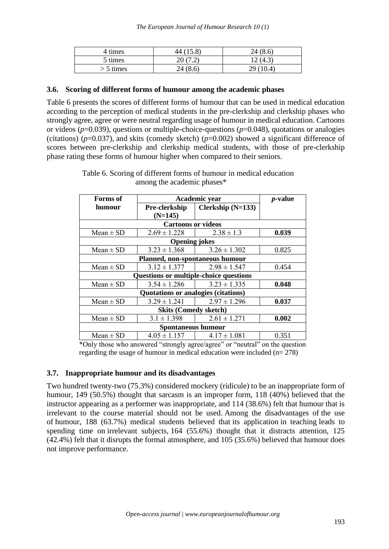| 4 times     | 44 (15.8) | 24(8.6)  |
|-------------|-----------|----------|
| 5 times     | 20(7.2)   | 12(4.3)  |
| $> 5$ times | 24(8.6)   | 29(10.4) |

## **3.6. Scoring of different forms of humour among the academic phases**

Table 6 presents the scores of different forms of humour that can be used in medical education according to the perception of medical students in the pre-clerkship and clerkship phases who strongly agree, agree or were neutral regarding usage of humour in medical education. Cartoons or videos (*p*=0.039), questions or multiple-choice-questions (*p*=0.048), quotations or analogies (citations) (*p*=0.037), and skits (comedy sketch) (*p*=0.002) showed a significant difference of scores between pre-clerkship and clerkship medical students, with those of pre-clerkship phase rating these forms of humour higher when compared to their seniors.

| Forms of                               | Academic year                       | <i>p</i> -value     |       |  |  |  |
|----------------------------------------|-------------------------------------|---------------------|-------|--|--|--|
| humour                                 | Pre-clerkship                       | Clerkship $(N=133)$ |       |  |  |  |
|                                        | $(N=145)$                           |                     |       |  |  |  |
|                                        | <b>Cartoons or videos</b>           |                     |       |  |  |  |
| $Mean \pm SD$                          | $2.69 \pm 1.228$                    | $2.38 \pm 1.3$      | 0.039 |  |  |  |
|                                        | <b>Opening jokes</b>                |                     |       |  |  |  |
| Mean $\pm$ SD                          | $3.23 \pm 1.368$                    | $3.26 \pm 1.302$    | 0.825 |  |  |  |
|                                        | Planned, non-spontaneous humour     |                     |       |  |  |  |
| Mean $\pm$ SD                          | $3.12 \pm 1.377$                    | $2.98 \pm 1.547$    | 0.454 |  |  |  |
| Questions or multiple-choice questions |                                     |                     |       |  |  |  |
| Mean $\pm$ SD                          | $3.54 \pm 1.286$                    | $3.23 \pm 1.335$    | 0.048 |  |  |  |
|                                        | Quotations or analogies (citations) |                     |       |  |  |  |
| $Mean \pm SD$                          | $3.29 \pm 1.241$                    | $2.97 \pm 1.296$    | 0.037 |  |  |  |
| <b>Skits (Comedy sketch)</b>           |                                     |                     |       |  |  |  |
| Mean $\pm$ SD                          | $3.1 \pm 1.398$                     | 2.61 ± 1.271        | 0.002 |  |  |  |
| <b>Spontaneous humour</b>              |                                     |                     |       |  |  |  |
| Mean $\pm$ SD                          | $4.05 \pm 1.157$                    | $4.17 \pm 1.081$    | 0.351 |  |  |  |

Table 6. Scoring of different forms of humour in medical education among the academic phases\*

\*Only those who answered "strongly agree/agree" or "neutral" on the question regarding the usage of humour in medical education were included (n= 278)

#### **3.7. Inappropriate humour and its disadvantages**

Two hundred twenty-two (75.3%) considered mockery (ridicule) to be an inappropriate form of humour, 149 (50.5%) thought that sarcasm is an improper form, 118 (40%) believed that the instructor appearing as a performer was inappropriate, and 114 (38.6%) felt that humour that is irrelevant to the course material should not be used. Among the disadvantages of the use of humour, 188 (63.7%) medical students believed that its application in teaching leads to spending time on irrelevant subjects, 164 (55.6%) thought that it distracts attention, 125 (42.4%) felt that it disrupts the formal atmosphere, and 105 (35.6%) believed that humour does not improve performance.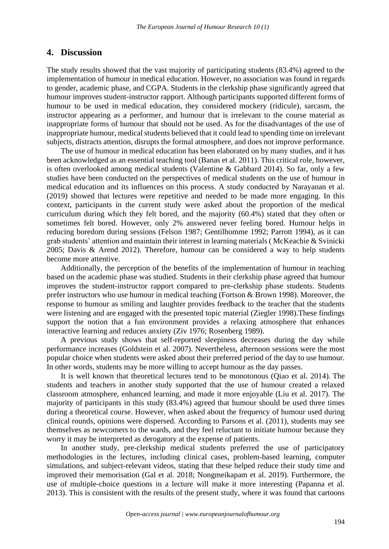#### **4. Discussion**

The study results showed that the vast majority of participating students (83.4%) agreed to the implementation of humour in medical education. However, no association was found in regards to gender, academic phase, and CGPA. Students in the clerkship phase significantly agreed that humour improves student-instructor rapport. Although participants supported different forms of humour to be used in medical education, they considered mockery (ridicule), sarcasm, the instructor appearing as a performer, and humour that is irrelevant to the course material as inappropriate forms of humour that should not be used. As for the disadvantages of the use of inappropriate humour, medical students believed that it could lead to spending time on irrelevant subjects, distracts attention, disrupts the formal atmosphere, and does not improve performance.

The use of humour in medical education has been elaborated on by many studies, and it has been acknowledged as an essential teaching tool (Banas et al. 2011). This critical role, however, is often overlooked among medical students (Valentine & Gabbard 2014). So far, only a few studies have been conducted on the perspectives of medical students on the use of humour in medical education and its influences on this process. A study conducted by Narayanan et al. (2019) showed that lectures were repetitive and needed to be made more engaging. In this context, participants in the current study were asked about the proportion of the medical curriculum during which they felt bored, and the majority (60.4%) stated that they often or sometimes felt bored. However, only 2% answered never feeling bored. Humour helps in reducing boredom during sessions (Felson 1987; Gentilhomme 1992; Parrott 1994), as it can grab students' attention and maintain their interest in learning materials ( McKeachie & Svinicki 2005; Davis & Arend 2012). Therefore, humour can be considered a way to help students become more attentive.

Additionally, the perception of the benefits of the implementation of humour in teaching based on the academic phase was studied. Students in their clerkship phase agreed that humour improves the student-instructor rapport compared to pre-clerkship phase students. Students prefer instructors who use humour in medical teaching (Fortson & Brown 1998). Moreover, the response to humour as smiling and laughter provides feedback to the teacher that the students were listening and are engaged with the presented topic material (Ziegler 1998).These findings support the notion that a fun environment provides a relaxing atmosphere that enhances interactive learning and reduces anxiety (Ziv 1976; Rosenberg 1989).

A previous study shows that self-reported sleepiness decreases during the day while performance increases (Goldstein et al. 2007). Nevertheless, afternoon sessions were the most popular choice when students were asked about their preferred period of the day to use humour. In other words, students may be more willing to accept humour as the day passes.

It is well known that theoretical lectures tend to be monotonous (Qiao et al. 2014). The students and teachers in another study supported that the use of humour created a relaxed classroom atmosphere, enhanced learning, and made it more enjoyable (Liu et al. 2017). The majority of participants in this study (83.4%) agreed that humour should be used three times during a theoretical course. However, when asked about the frequency of humour used during clinical rounds, opinions were dispersed. According to Parsons et al. (2011), students may see themselves as newcomers to the wards, and they feel reluctant to initiate humour because they worry it may be interpreted as derogatory at the expense of patients.

In another study, pre-clerkship medical students preferred the use of participatory methodologies in the lectures, including clinical cases, problem-based learning, computer simulations, and subject-relevant videos, stating that these helped reduce their study time and improved their memorisation (Gal et al. 2018; Nongmeikapam et al. 2019). Furthermore, the use of multiple-choice questions in a lecture will make it more interesting (Papanna et al. 2013). This is consistent with the results of the present study, where it was found that cartoons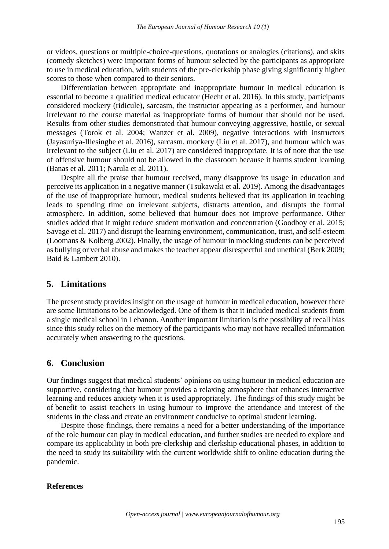or videos, questions or multiple-choice-questions, quotations or analogies (citations), and skits (comedy sketches) were important forms of humour selected by the participants as appropriate to use in medical education, with students of the pre-clerkship phase giving significantly higher scores to those when compared to their seniors.

Differentiation between appropriate and inappropriate humour in medical education is essential to become a qualified medical educator (Hecht et al. 2016). In this study, participants considered mockery (ridicule), sarcasm, the instructor appearing as a performer, and humour irrelevant to the course material as inappropriate forms of humour that should not be used. Results from other studies demonstrated that humour conveying aggressive, hostile, or sexual messages (Torok et al. 2004; Wanzer et al. 2009), negative interactions with instructors (Jayasuriya-Illesinghe et al. 2016), sarcasm, mockery (Liu et al. 2017), and humour which was irrelevant to the subject (Liu et al. 2017) are considered inappropriate. It is of note that the use of offensive humour should not be allowed in the classroom because it harms student learning (Banas et al. 2011; Narula et al. 2011).

Despite all the praise that humour received, many disapprove its usage in education and perceive its application in a negative manner (Tsukawaki et al. 2019). Among the disadvantages of the use of inappropriate humour, medical students believed that its application in teaching leads to spending time on irrelevant subjects, distracts attention, and disrupts the formal atmosphere. In addition, some believed that humour does not improve performance. Other studies added that it might reduce student motivation and concentration (Goodboy et al. 2015; Savage et al. 2017) and disrupt the learning environment, communication, trust, and self-esteem (Loomans & Kolberg 2002). Finally, the usage of humour in mocking students can be perceived as bullying or verbal abuse and makes the teacher appear disrespectful and unethical (Berk 2009; Baid & Lambert 2010).

#### **5. Limitations**

The present study provides insight on the usage of humour in medical education, however there are some limitations to be acknowledged. One of them is that it included medical students from a single medical school in Lebanon. Another important limitation is the possibility of recall bias since this study relies on the memory of the participants who may not have recalled information accurately when answering to the questions.

## **6. Conclusion**

Our findings suggest that medical students' opinions on using humour in medical education are supportive, considering that humour provides a relaxing atmosphere that enhances interactive learning and reduces anxiety when it is used appropriately. The findings of this study might be of benefit to assist teachers in using humour to improve the attendance and interest of the students in the class and create an environment conducive to optimal student learning.

Despite those findings, there remains a need for a better understanding of the importance of the role humour can play in medical education, and further studies are needed to explore and compare its applicability in both pre-clerkship and clerkship educational phases, in addition to the need to study its suitability with the current worldwide shift to online education during the pandemic.

#### **References**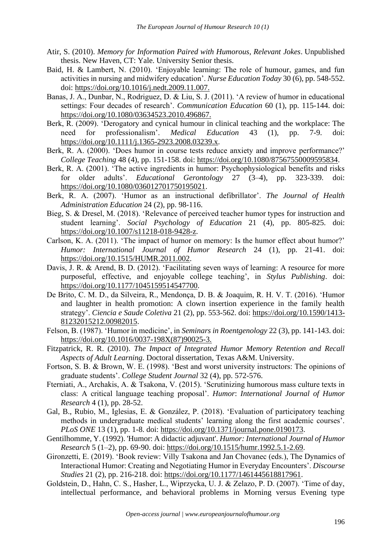- Atir, S. (2010). *Memory for Information Paired with Humorous, Relevant Jokes*. Unpublished thesis. New Haven, CT: Yale. University Senior thesis.
- Baid, H. & Lambert, N. (2010). 'Enjoyable learning: The role of humour, games, and fun activities in nursing and midwifery education'. *Nurse Education Today* 30 (6), pp. 548-552. doi: https://doi.org/10.1016/j.nedt.2009.11.007.
- Banas, J. A., Dunbar, N., Rodriguez, D. & Liu, S. J. (2011). 'A review of humor in educational settings: Four decades of research'. *Communication Education* 60 (1), pp. 115-144. doi: https://doi.org/10.1080/03634523.2010.496867.
- Berk, R. (2009). 'Derogatory and cynical humour in clinical teaching and the workplace: The need for professionalism'. *Medical Education* 43 (1), pp. 7-9. doi: https://doi.org/10.1111/j.1365-2923.2008.03239.x.
- Berk, R. A. (2000). 'Does humor in course tests reduce anxiety and improve performance?' *College Teaching* 48 (4), pp. 151-158. doi: https://doi.org/10.1080/87567550009595834.
- Berk, R. A. (2001). 'The active ingredients in humor: Psychophysiological benefits and risks for older adults'. *Educational Gerontology* 27 (3–4), pp. 323-339. doi: https://doi.org/10.1080/036012701750195021.
- Berk, R. A. (2007). 'Humor as an instructional defibrillator'. *The Journal of Health Administration Education* 24 (2), pp. 98-116.
- Bieg, S. & Dresel, M. (2018). 'Relevance of perceived teacher humor types for instruction and student learning'. *Social Psychology of Education* 21 (4), pp. 805-825. doi: https://doi.org/10.1007/s11218-018-9428-z.
- Carlson, K. A. (2011). 'The impact of humor on memory: Is the humor effect about humor?' *Humor: International Journal of Humor Research* 24 (1), pp. 21-41. doi: https://doi.org/10.1515/HUMR.2011.002.
- Davis, J. R. & Arend, B. D. (2012). 'Facilitating seven ways of learning: A resource for more purposeful, effective, and enjoyable college teaching', in *Stylus Publishing*. doi: https://doi.org/10.1177/1045159514547700.
- De Brito, C. M. D., da Silveira, R., Mendonça, D. B. & Joaquim, R. H. V. T. (2016). 'Humor and laughter in health promotion: A clown insertion experience in the family health strategy'. *Ciencia e Saude Coletiva* 21 (2), pp. 553-562. doi: https://doi.org/10.1590/1413- 81232015212.00982015.
- Felson, B. (1987). 'Humor in medicine', in *Seminars in Roentgenology* 22 (3), pp. 141-143. doi: https://doi.org/10.1016/0037-198X(87)90025-3.
- Fitzpatrick, R. R. (2010). *The Impact of Integrated Humor Memory Retention and Recall Aspects of Adult Learning.* Doctoral dissertation, Texas A&M. University.
- Fortson, S. B. & Brown, W. E. (1998). 'Best and worst university instructors: The opinions of graduate students'. *College Student Journal* 32 (4), pp. 572-576.
- Fterniati, A., Archakis, A. & Tsakona, V. (2015). 'Scrutinizing humorous mass culture texts in class: A critical language teaching proposal'. *Humor*: *International Journal of Humor Research* 4 (1), pp. 28-52.
- Gal, B., Rubio, M., Iglesias, E. & González, P. (2018). 'Evaluation of participatory teaching methods in undergraduate medical students' learning along the first academic courses'. *PLoS ONE* 13 (1), pp. 1-8. doi: https://doi.org/10.1371/journal.pone.0190173.
- Gentilhomme, Y. (1992). 'Humor: A didactic adjuvant'. *Humor: International Journal of Humor Research* 5 (1–2), pp. 69-90. doi: https://doi.org/10.1515/humr.1992.5.1-2.69.
- Gironzetti, E. (2019). 'Book review: Villy Tsakona and Jan Chovanec (eds.), The Dynamics of Interactional Humor: Creating and Negotiating Humor in Everyday Encounters'. *Discourse Studies* 21 (2), pp. 216-218. doi: https://doi.org/10.1177/1461445618817961.
- Goldstein, D., Hahn, C. S., Hasher, L., Wiprzycka, U. J. & Zelazo, P. D. (2007). 'Time of day, intellectual performance, and behavioral problems in Morning versus Evening type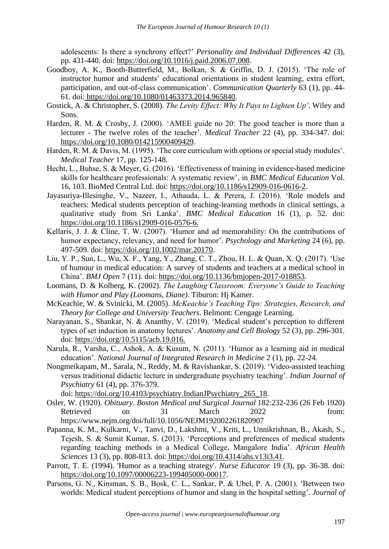adolescents: Is there a synchrony effect?' *Personality and Individual Differences* 42 (3), pp. 431-440. doi: https://doi.org/10.1016/j.paid.2006.07.008.

- Goodboy, A. K., Booth-Butterfield, M., Bolkan, S. & Griffin, D. J. (2015). 'The role of instructor humor and students' educational orientations in student learning, extra effort, participation, and out-of-class communication'. *Communication Quarterly* 63 (1), pp. 44- 61. doi: https://doi.org/10.1080/01463373.2014.965840.
- Gostick, A. & Christopher, S. (2008). *The Levity Effect: Why It Pays to Lighten Up'*. Wiley and Sons.
- Harden, R. M. & Crosby, J. (2000). 'AMEE guide no 20: The good teacher is more than a lecturer - The twelve roles of the teacher'. *Medical Teacher* 22 (4), pp. 334-347. doi: https://doi.org/10.1080/014215900409429.
- Harden, R. M. & Davis, M. (1995). 'The core curriculum with options or special study modules'. *Medical Teacher* 17, pp. 125-148.
- Hecht, L., Buhse, S. & Meyer, G. (2016). 'Effectiveness of training in evidence-based medicine skills for healthcare professionals: A systematic review', in *BMC Medical Education* Vol. 16, 103. BioMed Central Ltd. doi: https://doi.org/10.1186/s12909-016-0616-2.
- Jayasuriya-Illesinghe, V., Nazeer, I., Athauda, L. & Perera, J. (2016). 'Role models and teachers: Medical students perception of teaching-learning methods in clinical settings, a qualitative study from Sri Lanka'. *BMC Medical Education* 16 (1), p. 52. doi: https://doi.org/10.1186/s12909-016-0576-6.
- Kellaris, J. J. & Cline, T. W. (2007). 'Humor and ad memorability: On the contributions of humor expectancy, relevancy, and need for humor'. *Psychology and Marketing* 24 (6), pp. 497-509. doi: https://doi.org/10.1002/mar.20170.
- Liu, Y. P., Sun, L., Wu, X. F., Yang, Y., Zhang, C. T., Zhou, H. L. & Quan, X. Q. (2017). 'Use of humour in medical education: A survey of students and teachers at a medical school in China'. *BMJ Open* 7 (11). doi: https://doi.org/10.1136/bmjopen-2017-018853.
- Loomans, D. & Kolberg, K. (2002). *The Laughing Classroom: Everyone's Guide to Teaching with Humor and Play (Loomans, Diane)*. Tiburon: Hj Kamer.
- McKeachie, W. & Svinicki, M. (2005). *McKeachie's Teaching Tips: Strategies, Research, and Theory for College and University Teachers*. Belmont: Cengage Learning.
- Narayanan, S., Shankar, N. & Ananthy, V. (2019). 'Medical student's perception to different types of set induction in anatomy lectures'. *Anatomy and Cell Biology* 52 (3), pp. 296-301. doi: https://doi.org/10.5115/acb.19.016.
- Narula, R., Varsha, C., Ashok, A. & Kusum, N. (2011). 'Humor as a learning aid in medical education'. *National Journal of Integrated Research in Medicine* 2 (1), pp. 22-24.
- Nongmeikapam, M., Sarala, N., Reddy, M. & Ravishankar, S. (2019). 'Video-assisted teaching versus traditional didactic lecture in undergraduate psychiatry teaching'. *Indian Journal of Psychiatry* 61 (4), pp. 376-379.

doi: https://doi.org/10.4103/psychiatry.IndianJPsychiatry\_265\_18.

- Osler, W. (1920). *Obituary*. *Boston Medical and Surgical Journal* 182:232-236 (26 Feb 1920) Retrieved on 31 March 2022 from: https://www.nejm.org/doi/full/10.1056/NEJM192002261820907
- Papanna, K. M., Kulkarni, V., Tanvi, D., Lakshmi, V., Kriti, L., Unnikrishnan, B., Akash, S., Tejesh, S. & Sumit Kumar, S. (2013). 'Perceptions and preferences of medical students regarding teaching methods in a Medical College, Mangalore India'. *African Health Sciences* 13 (3), pp. 808-813. doi: https://doi.org/10.4314/ahs.v13i3.41.
- Parrott, T. E. (1994). 'Humor as a teaching strategy'. *Nurse Educator* 19 (3), pp. 36-38. doi: https://doi.org/10.1097/00006223-199405000-00017.
- Parsons, G. N., Kinsman, S. B., Bosk, C. L., Sankar, P. & Ubel, P. A. (2001). 'Between two worlds: Medical student perceptions of humor and slang in the hospital setting'. *Journal of*